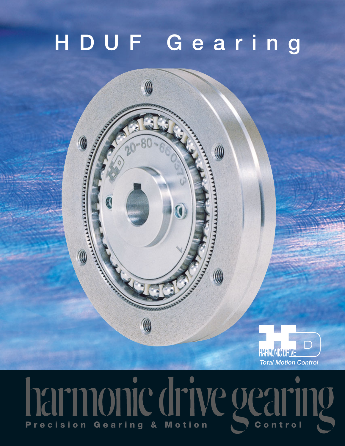# **HDUF Gearing**



## onic drive o  $\bullet$ Precision Gearing & Motion **Control**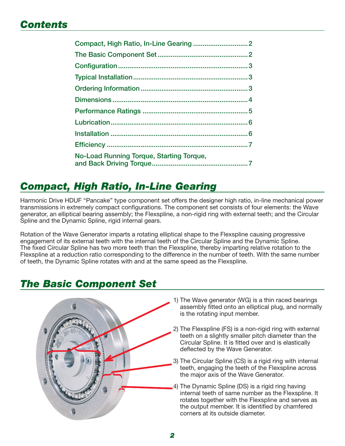#### *Contents*

| No-Load Running Torque, Starting Torque, |  |
|------------------------------------------|--|

### *Compact, High Ratio, In-Line Gearing*

Harmonic Drive HDUF "Pancake" type component set offers the designer high ratio, in-line mechanical power transmissions in extremely compact configurations. The component set consists of four elements: the Wave generator, an elliptical bearing assembly; the Flexspline, a non-rigid ring with external teeth; and the Circular Spline and the Dynamic Spline, rigid internal gears.

Rotation of the Wave Generator imparts a rotating elliptical shape to the Flexspline causing progressive engagement of its external teeth with the internal teeth of the Circular Spline and the Dynamic Spline. The fixed Circular Spline has two more teeth than the Flexspline, thereby imparting relative rotation to the Flexspline at a reduction ratio corresponding to the difference in the number of teeth. With the same number of teeth, the Dynamic Spline rotates with and at the same speed as the Flexspline.

#### *The Basic Component Set*



- 1) The Wave generator (WG) is a thin raced bearings assembly fitted onto an elliptical plug, and normally is the rotating input member.
- 2) The Flexspline (FS) is a non-rigid ring with external teeth on a slightly smaller pitch diameter than the Circular Spline. It is fitted over and is elastically deflected by the Wave Generator.
- 3) The Circular Spline (CS) is a rigid ring with internal teeth, engaging the teeth of the Flexspline across the major axis of the Wave Generator.
- 4) The Dynamic Spline (DS) is a rigid ring having internal teeth of same number as the Flexspline. It rotates together with the Flexspline and serves as the output member. It is identified by chamfered corners at its outside diameter.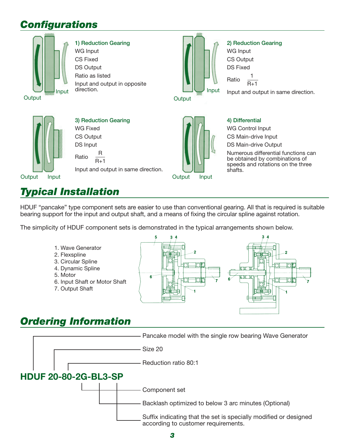### *Confi gurations*



#### **1) Reduction Gearing** WG Input

CS Fixed DS Output Ratio as listed Input and output in opposite direction.



#### **2) Reduction Gearing**

 $R+1$ 

WG Input CS Output DS Fixed

Ratio 1

**Output** 

Output Input



Input and output in same direction.

## *Typical Installation*

HDUF "pancake" type component sets are easier to use than conventional gearing. All that is required is suitable bearing support for the input and output shaft, and a means of fixing the circular spline against rotation.

The simplicity of HDUF component sets is demonstrated in the typical arrangements shown below.

- 1. Wave Generator
- 2. Flexspline
- 3. Circular Spline
- 4. Dynamic Spline
- 5. Motor
- 6. Input Shaft or Motor Shaft
- 7. Output Shaft



### *Ordering Information*



Output Input

#### **4) Differential**

WG Control Input

CS Main-drive Input

DS Main-drive Output

Numerous differential functions can be obtained by combinations of speeds and rotations on the three shafts.

Input and output in same direction.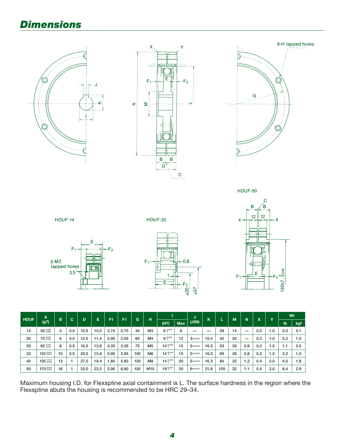### *Dimensions*









| <b>HDUF</b> | A                            | B  | C.  |      |                                            |            | F <sub>1</sub> |     |                |                    |    | w          | $\mathbf{z}$ |     | M   | N   | X   | $\checkmark$ | Wt  |     |
|-------------|------------------------------|----|-----|------|--------------------------------------------|------------|----------------|-----|----------------|--------------------|----|------------|--------------|-----|-----|-----|-----|--------------|-----|-----|
|             | (g7)                         |    |     |      | н<br>Е<br>G<br>F <sub>1</sub><br>D<br>(H7) | <b>Max</b> | (JS9)          | ĸ   |                |                    |    |            |              | lb  | kgf |     |     |              |     |     |
| 14          | $50 - 0.009$                 | 5  | 0.5 | 10.5 | 15.0                                       | 3.75       | 0.75           | 44  | M <sub>3</sub> | $6^{+0.012}_{0}$   | 8  |            |              | 29  | 14  | –   | 0.2 | 1.0          | 0.2 | 0.1 |
| 20          | 70-0.010                     | 6  | 0.5 | 12.5 | 11.4                                       | 0.95       | 2.05           | 60  | M4             | $9^{+0.015}_{0}$   | 12 | $3*0.0125$ | 10.4         | 42  | 20  | _   | 0.2 | 1.0          | 0.2 | 1.0 |
| 25          | $85 - 0.012$                 | 8  | 0.5 | 16.5 | 12.8                                       | 0.35       | 3.35           | 75  | M <sub>5</sub> | $14^{+0.018}_{0}$  | 15 | $5*0.0150$ | 16.3         | 53  | 26  | 0.9 | 0.2 | 1.5          | 1.1 | 0.5 |
| 32          | 110 $-0.012$                 | 10 | 0.5 | 20.5 | 15.6                                       | 0.95       | 3.95           | 100 | M <sub>6</sub> | $14^{+0.018}_{0}$  | 15 | $5*0.0150$ | 16.3         | 69  | 26  | 0.8 | 0.2 | 1.5          | 2.2 | 1.0 |
| 40          | $135 \tcdot 0.014 \t{.0054}$ | 13 |     | 27.0 | 19.4                                       | 1.80       | 5.80           | 120 | M <sub>8</sub> | $14^{+0.018}_{0}$  | 20 | $5*0.0150$ | 16.3         | 84  | 32  | 1.2 | 0.4 | 2.0          | 4.0 | 1.8 |
| 50          | 170-0.054                    | 16 |     | 33.0 | 23.2                                       | 2.90       | 6.90           | 150 | M10            | $19^{+0.021}_{-0}$ | 20 | $6*0.0150$ | 21.8         | 105 | 32  | 1.1 | 0.4 | 2.0          | 6.4 | 2.9 |

Maximum housing I.D. for Flexspline axial containment is L. The surface hardness in the region where the Flexspline abuts the housing is recommended to be HRC 29–34.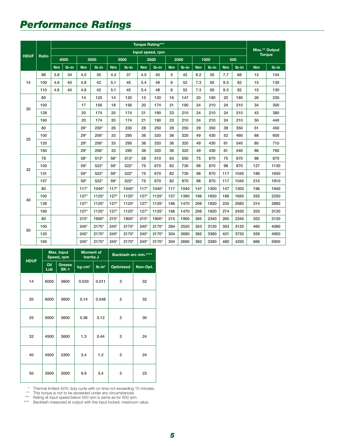### *Performance Ratings*

|             |              | <b>Torque Rating***</b> |       |           |         |        |         |           |                  |           |       |           |         |           |         |               |               |
|-------------|--------------|-------------------------|-------|-----------|---------|--------|---------|-----------|------------------|-----------|-------|-----------|---------|-----------|---------|---------------|---------------|
| <b>HDUF</b> | <b>Ratio</b> |                         |       |           |         |        |         |           | Input speed, rpm |           |       |           |         |           |         | <b>Torque</b> | Max.** Output |
|             |              |                         | 4000  | 3500      |         | 3000   |         | 2500      |                  | 2000      |       | 1000      |         | 500       |         |               |               |
|             |              | Nm                      | Ib-in | <b>Nm</b> | lb-in   | Nm     | $Ib-in$ | <b>Nm</b> | $Ib-in$          | <b>Nm</b> | Ib-in | <b>Nm</b> | $Ib-in$ | <b>Nm</b> | $Ib-in$ | <b>Nm</b>     | $Ib-in$       |
|             | 88           | 3.8                     | 34    | 4.0       | 35      | 4.2    | 37      | 4.5       | 40               | 5         | 42    | 6.2       | 55      | 7.7       | 68      | 12            | 104           |
| 14          | 100          | 4.6                     | 40    | 4.8       | 42      | 5.1    | 45      | 5.4       | 48               | 6         | 52    | 7.3       | 65      | 9.3       | 82      | 15            | 130           |
|             | 110          | 4.6                     | 40    | 4.8       | 42      | 5.1    | 45      | 5.4       | 48               | 6         | 52    | 7.3       | 65      | 9.3       | 82      | 15            | 130           |
|             | 80           |                         |       | 14        | 120     | 14     | 120     | 15        | 130              | 16        | 147   | 20        | 180     | 20        | 180     | 26            | 230           |
| 20          | 100          |                         |       | 17        | 156     | 18     | 156     | 20        | 174              | 21        | 190   | 24        | 210     | 24        | 210     | 34            | 300           |
|             | 128          |                         |       | 20        | 174     | 20     | 174     | 21        | 190              | 23        | 210   | 24        | 210     | 24        | 210     | 43            | 380           |
|             | 160          |                         |       | 20        | 174     | 20     | 174     | 21        | 190              | 23        | 210   | 24        | 210     | 24        | 210     | 50            | 440           |
|             | 80           |                         |       | $26*$     | 230*    | 26     | 230     | 28        | 250              | 28        | 250   | 29        | 350     | 39        | 350     | 51            | 450           |
| 25          | 100          |                         |       | $29*$     | 256*    | 33     | 295     | 36        | 320              | 36        | 320   | 49        | 430     | 52        | 460     | 68            | 600           |
|             | 120          |                         |       | $29*$     | 256*    | 33     | 295     | 36        | 320              | 36        | 320   | 49        | 430     | 61        | 540     | 80            | 710           |
|             | 160          |                         |       | $29*$     | 256*    | 33     | 295     | 36        | 320              | 36        | 320   | 49        | 430     | 61        | 540     | 86            | 760           |
|             | 78           |                         |       | 58*       | $513*$  | 58*    | $513*$  | 58        | 510              | 63        | 550   | 75        | 670     | 75        | 670     | 98            | 870           |
| 32          | 100          |                         |       | 59*       | 522*    | 59*    | $522*$  | 75        | 670              | 82        | 730   | 98        | 870     | 98        | 870     | 127           | 1130          |
|             | 131          |                         |       | $59*$     | 522*    | 59*    | 522*    | 75        | 670              | 82        | 730   | 98        | 870     | 117       | 1040    | 186           | 1650          |
|             | 157          |                         |       | 59*       | 522*    | 59*    | $522*$  | 75        | 670              | 82        | 870   | 98        | 870     | 117       | 1040    | 215           | 1910          |
|             | 80           |                         |       | $117*$    | 1040*   | $117*$ | 1040*   | $117*$    | 1040*            | 117       | 1040  | 147       | 1300    | 147       | 1300    | 196           | 1940          |
|             | 100          |                         |       | $127*$    | $1125*$ | $127*$ | 1125*   | $127*$    | 1125*            | 157       | 1390  | 186       | 1650    | 186       | 1650    | 255           | 2250          |
| 40          | 128          |                         |       | $127*$    | $1125*$ | $127*$ | 1125*   | $127*$    | 1125*            | 166       | 1470  | 206       | 1820    | 235       | 2080    | 314           | 2880          |
|             | 160          |                         |       | $127*$    | $1125*$ | $127*$ | 1125*   | $127*$    | 1125*            | 166       | 1470  | 206       | 1820    | 274       | 2430    | 353           | 3120          |
|             | 80           |                         |       | $215*$    | 1900*   | $215*$ | 1900*   | $215*$    | 1900*            | 215       | 1900  | 265       | 2340    | 265       | 2340    | 353           | 3120          |
|             | 100          |                         |       | $245*$    | 2170*   | $245*$ | 2170*   | $245*$    | 2170*            | 284       | 2520  | 353       | 3120    | 353       | 3120    | 460           | 4080          |
| 50          | 120          |                         |       | $245*$    | 2170*   | $245*$ | 2170*   | $245*$    | 2170*            | 304       | 2690  | 382       | 3380    | 421       | 3730    | 559           | 4950          |
|             | 160          |                         |       | $245*$    | 2170*   | $245*$ | 2170*   | $245*$    | 2170*            | 304       | 2690  | 382       | 3380    | 480       | 4250    | 666           | 5900          |

| <b>HDUF</b> |            | Max. Input<br>Speed, rpm | <b>Moment of</b><br>Inertia J |           | Backlash arc min.**** |          |  |  |
|-------------|------------|--------------------------|-------------------------------|-----------|-----------------------|----------|--|--|
|             | Oil<br>Lub | Grease<br>$SK-1$         | $kg$ -cm <sup>2</sup>         | $Ib-in^2$ | <b>Optimized</b>      | Non-Opt. |  |  |
| 14          | 6000       | 3600                     | 0.033                         | 0.011     | 3                     | 32       |  |  |
| 20          | 6000       | 3600                     | 0.14                          | 0.048     | 3                     | 32       |  |  |
| 25          | 5000       | 3600                     | 0.36                          | 0.12      | 3                     | 30       |  |  |
| 32          | 4500       | 3600                     | 1.3                           | 0.44      | 3                     | 24       |  |  |
| 40          | 4500       | 3300                     | 3.4                           | 1.2       | 3                     | 24       |  |  |
| 50          | 3500       | 3000                     | 9.9                           | 3.4       | 3                     | 23       |  |  |

\* Thermal limited–50% duty cycle with on time not exceeding 15 minutes.

\*\* This torque is not to be exceeded under any circumstances.

\*\*\* Rating at input speed below 500 rpm is same as for 500 rpm. \*\*\*\* Backlash measured at output with the input locked, maximum value.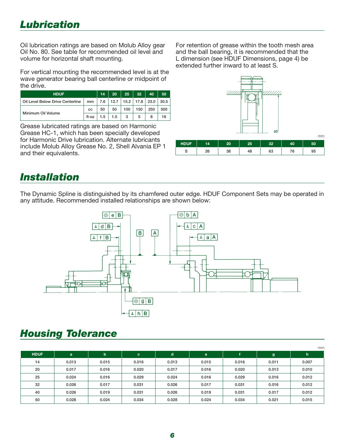Oil lubrication ratings are based on Molub Alloy gear Oil No. 80. See table for recommended oil level and volume for horizontal shaft mounting.

For vertical mounting the recommended level is at the wave generator bearing ball centerline or midpoint of the drive.

| <b>HDUF</b>                      | 14    | 20  | $25 -$                          | 32  | 40  | 50  |      |
|----------------------------------|-------|-----|---------------------------------|-----|-----|-----|------|
| Oil Level Below Drive Centerline | mm    |     | 7.6   12.7   15.2   17.8   23.0 |     |     |     | 30.5 |
| Minimum Oil Volume               | СC    | 50  | 50                              | 100 | 150 | 250 | 500  |
|                                  | fl-oz | 1.5 | 1.5                             | 3   | 5   |     | 16   |

Grease lubricated ratings are based on Harmonic Grease HC-1, which has been specially developed for Harmonic Drive lubrication. Alternate lubricants include Molub Alloy Grease No. 2, Shell Alvania EP 1 and their equivalents.

For retention of grease within the tooth mesh area and the ball bearing, it is recommended that the L dimension (see HDUF Dimensions, page 4) be extended further inward to at least S.



#### *Installation*

The Dynamic Spline is distinguished by its chamfered outer edge. HDUF Component Sets may be operated in any attitude. Recommended installed relationships are shown below:



#### *Housing Tolerance*

|             |       |             |       |       |       |       |       | mm    |
|-------------|-------|-------------|-------|-------|-------|-------|-------|-------|
| <b>HDUF</b> | a     | $\mathbf b$ | c.    | d     | e     |       | g     | h,    |
| 14          | 0.013 | 0.015       | 0.016 | 0.013 | 0.015 | 0.016 | 0.011 | 0.007 |
| 20          | 0.017 | 0.016       | 0.020 | 0.017 | 0.016 | 0.020 | 0.013 | 0.010 |
| 25          | 0.024 | 0.016       | 0.029 | 0.024 | 0.016 | 0.029 | 0.016 | 0.012 |
| 32          | 0.026 | 0.017       | 0.031 | 0.026 | 0.017 | 0.031 | 0.016 | 0.012 |
| 40          | 0.026 | 0.019       | 0.031 | 0.026 | 0.019 | 0.031 | 0.017 | 0.012 |
| 50          | 0.028 | 0.024       | 0.034 | 0.028 | 0.024 | 0.034 | 0.021 | 0.015 |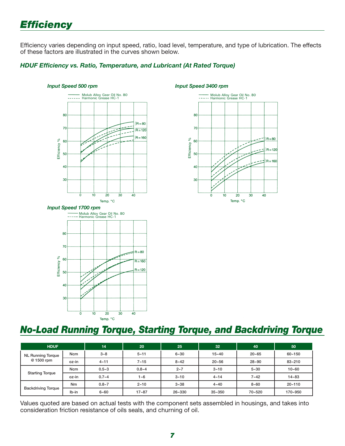### *Effi ciency*

Efficiency varies depending on input speed, ratio, load level, temperature, and type of lubrication. The effects of these factors are illustrated in the curves shown below.

#### **HDUF Efficiency vs. Ratio, Temperature, and Lubricant (At Rated Torque)**







#### *No-Load Running Torque, Starting Torque, and Backdriving Torque*

| <b>HDUF</b>                            |            | 14        | 20        | 25       | 32         | 40        | 50         |
|----------------------------------------|------------|-----------|-----------|----------|------------|-----------|------------|
| <b>NL Running Torque</b><br>@ 1500 rpm | <b>Ncm</b> | $3 - 8$   | $5 - 11$  | $6 - 30$ | $15 - 40$  | $20 - 65$ | $60 - 150$ |
|                                        | oz-in      | $4 - 11$  | $7 - 15$  | $8 - 42$ | $20 - 56$  | $28 - 90$ | $83 - 210$ |
|                                        | <b>Ncm</b> | $0.5 - 3$ | $0.8 - 4$ | $2 - 7$  | $3 - 10$   | $5 - 30$  | $10 - 60$  |
| <b>Starting Torque</b>                 | oz-in      | $0.7 - 4$ | 1~6       | $3 - 10$ | $4 - 14$   | $7 - 42$  | $14 - 83$  |
|                                        | <b>Nm</b>  | $0.8 - 7$ | $2 - 10$  | $3 - 38$ | $4 - 40$   | $8 - 60$  | $20 - 110$ |
| <b>Backdriving Torque</b>              | $Ib-in$    | $6 - 60$  | $17 - 87$ | 26~330   | $35 - 350$ | 70~520    | 170~950    |

Values quoted are based on actual tests with the component sets assembled in housings, and takes into consideration friction resistance of oils seals, and churning of oil.

*Input Speed 3400 rpm*